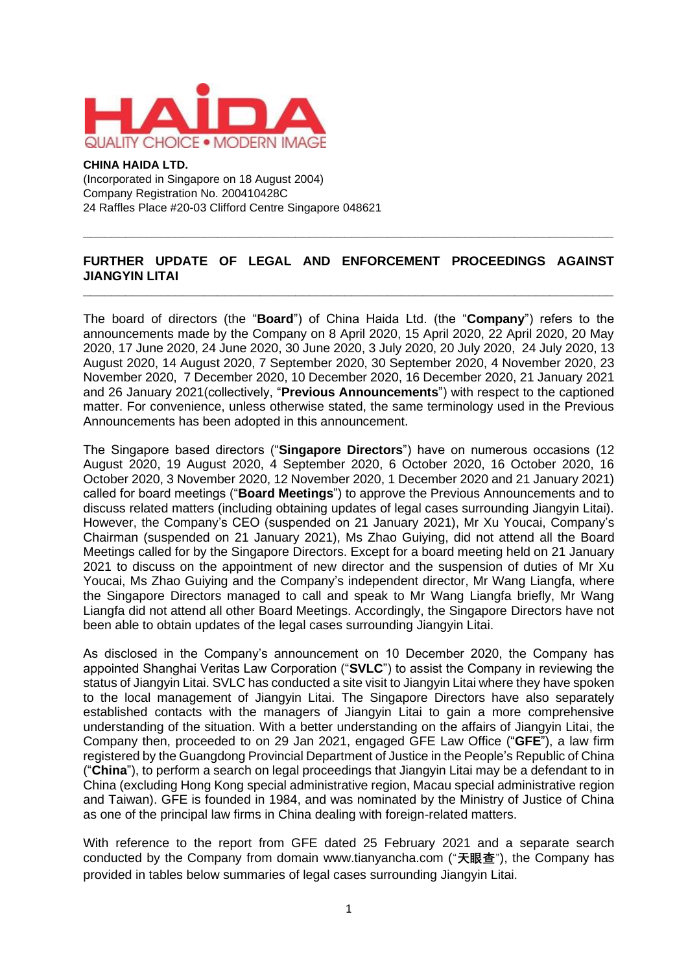

#### **CHINA HAIDA LTD.**

(Incorporated in Singapore on 18 August 2004) Company Registration No. 200410428C 24 Raffles Place #20-03 Clifford Centre Singapore 048621

## **FURTHER UPDATE OF LEGAL AND ENFORCEMENT PROCEEDINGS AGAINST JIANGYIN LITAI \_\_\_\_\_\_\_\_\_\_\_\_\_\_\_\_\_\_\_\_\_\_\_\_\_\_\_\_\_\_\_\_\_\_\_\_\_\_\_\_\_\_\_\_\_\_\_\_\_\_\_\_\_\_\_\_\_\_\_\_\_\_\_\_\_\_\_\_\_\_\_\_\_\_\_**

**\_\_\_\_\_\_\_\_\_\_\_\_\_\_\_\_\_\_\_\_\_\_\_\_\_\_\_\_\_\_\_\_\_\_\_\_\_\_\_\_\_\_\_\_\_\_\_\_\_\_\_\_\_\_\_\_\_\_\_\_\_\_\_\_\_\_\_\_\_\_\_\_\_\_\_**

The board of directors (the "**Board**") of China Haida Ltd. (the "**Company**") refers to the announcements made by the Company on 8 April 2020, 15 April 2020, 22 April 2020, 20 May 2020, 17 June 2020, 24 June 2020, 30 June 2020, 3 July 2020, 20 July 2020, 24 July 2020, 13 August 2020, 14 August 2020, 7 September 2020, 30 September 2020, 4 November 2020, 23 November 2020, 7 December 2020, 10 December 2020, 16 December 2020, 21 January 2021 and 26 January 2021(collectively, "**Previous Announcements**") with respect to the captioned matter. For convenience, unless otherwise stated, the same terminology used in the Previous Announcements has been adopted in this announcement.

The Singapore based directors ("**Singapore Directors**") have on numerous occasions (12 August 2020, 19 August 2020, 4 September 2020, 6 October 2020, 16 October 2020, 16 October 2020, 3 November 2020, 12 November 2020, 1 December 2020 and 21 January 2021) called for board meetings ("**Board Meetings**") to approve the Previous Announcements and to discuss related matters (including obtaining updates of legal cases surrounding Jiangyin Litai). However, the Company's CEO (suspended on 21 January 2021), Mr Xu Youcai, Company's Chairman (suspended on 21 January 2021), Ms Zhao Guiying, did not attend all the Board Meetings called for by the Singapore Directors. Except for a board meeting held on 21 January 2021 to discuss on the appointment of new director and the suspension of duties of Mr Xu Youcai, Ms Zhao Guiying and the Company's independent director, Mr Wang Liangfa, where the Singapore Directors managed to call and speak to Mr Wang Liangfa briefly, Mr Wang Liangfa did not attend all other Board Meetings. Accordingly, the Singapore Directors have not been able to obtain updates of the legal cases surrounding Jiangyin Litai.

As disclosed in the Company's announcement on 10 December 2020, the Company has appointed Shanghai Veritas Law Corporation ("**SVLC**") to assist the Company in reviewing the status of Jiangyin Litai. SVLC has conducted a site visit to Jiangyin Litai where they have spoken to the local management of Jiangyin Litai. The Singapore Directors have also separately established contacts with the managers of Jiangyin Litai to gain a more comprehensive understanding of the situation. With a better understanding on the affairs of Jiangyin Litai, the Company then, proceeded to on 29 Jan 2021, engaged GFE Law Office ("**GFE**"), a law firm registered by the Guangdong Provincial Department of Justice in the People's Republic of China ("**China**"), to perform a search on legal proceedings that Jiangyin Litai may be a defendant to in China (excluding Hong Kong special administrative region, Macau special administrative region and Taiwan). GFE is founded in 1984, and was nominated by the Ministry of Justice of China as one of the principal law firms in China dealing with foreign-related matters.

With reference to the report from GFE dated 25 February 2021 and a separate search conducted by the Company from domain www.tianyancha.com ("**天眼查**"), the Company has provided in tables below summaries of legal cases surrounding Jiangyin Litai.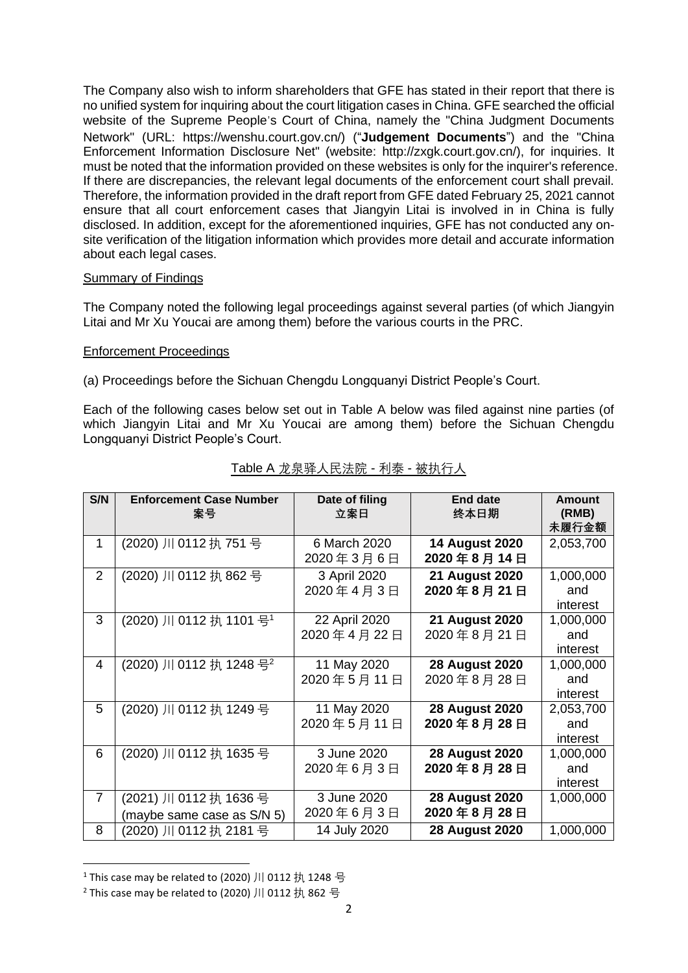The Company also wish to inform shareholders that GFE has stated in their report that there is no unified system for inquiring about the court litigation cases in China. GFE searched the official website of the Supreme People's Court of China, namely the "China Judgment Documents Network" (URL: https://wenshu.court.gov.cn/) ("**Judgement Documents**") and the "China Enforcement Information Disclosure Net" (website: [http://zxgk.court.gov.cn/\),](http://zxgk.court.gov.cn/)) for inquiries. It must be noted that the information provided on these websites is only for the inquirer's reference. If there are discrepancies, the relevant legal documents of the enforcement court shall prevail. Therefore, the information provided in the draft report from GFE dated February 25, 2021 cannot ensure that all court enforcement cases that Jiangyin Litai is involved in in China is fully disclosed. In addition, except for the aforementioned inquiries, GFE has not conducted any onsite verification of the litigation information which provides more detail and accurate information about each legal cases.

## Summary of Findings

The Company noted the following legal proceedings against several parties (of which Jiangyin Litai and Mr Xu Youcai are among them) before the various courts in the PRC.

## Enforcement Proceedings

(a) Proceedings before the Sichuan Chengdu Longquanyi District People's Court.

Each of the following cases below set out in Table A below was filed against nine parties (of which Jiangyin Litai and Mr Xu Youcai are among them) before the Sichuan Chengdu Longquanyi District People's Court.

| S/N            | <b>Enforcement Case Number</b><br>案号 | Date of filing<br>立案日 | <b>End date</b><br>终本日期 | Amount<br>(RMB) |
|----------------|--------------------------------------|-----------------------|-------------------------|-----------------|
|                |                                      |                       |                         | 未履行金额           |
| $\mathbf{1}$   | (2020) 川 0112 执 751 号                | 6 March 2020          | <b>14 August 2020</b>   | 2,053,700       |
|                |                                      | 2020年3月6日             | 2020年8月14日              |                 |
| $\overline{2}$ | (2020) 川 0112 执 862 号                | 3 April 2020          | <b>21 August 2020</b>   | 1,000,000       |
|                |                                      | 2020年4月3日             | 2020年8月21日              | and             |
|                |                                      |                       |                         | interest        |
| 3              | (2020) 川 0112 执 1101 号 <sup>1</sup>  | 22 April 2020         | <b>21 August 2020</b>   | 1,000,000       |
|                |                                      | 2020年4月22日            | 2020年8月21日              | and             |
|                |                                      |                       |                         | interest        |
| 4              | (2020) 川 0112 执 1248 号 <sup>2</sup>  | 11 May 2020           | <b>28 August 2020</b>   | 1,000,000       |
|                |                                      | 2020年5月11日            | 2020年8月28日              | and             |
|                |                                      |                       |                         | interest        |
| 5              | (2020) 川 0112 执 1249 号               | 11 May 2020           | <b>28 August 2020</b>   | 2,053,700       |
|                |                                      | 2020年5月11日            | 2020年8月28日              | and             |
|                |                                      |                       |                         | interest        |
| 6              | (2020) 川 0112 执 1635 号               | 3 June 2020           | <b>28 August 2020</b>   | 1,000,000       |
|                |                                      | 2020年6月3日             | 2020年8月28日              | and             |
|                |                                      |                       |                         | interest        |
| $\overline{7}$ | (2021) 川 0112 执 1636 号               | 3 June 2020           | <b>28 August 2020</b>   | 1,000,000       |
|                | (maybe same case as S/N 5)           | 2020年6月3日             | 2020年8月28日              |                 |
| 8              | (2020) 川 0112 执 2181 号               | 14 July 2020          | <b>28 August 2020</b>   | 1,000,000       |

# Table A 龙泉驿人民法院 - 利泰 - 被执行人

<sup>&</sup>lt;sup>1</sup> This case may be related to (2020) 川 0112 执 1248 号

 $2$  This case may be related to (2020) 川 0112 执 862 号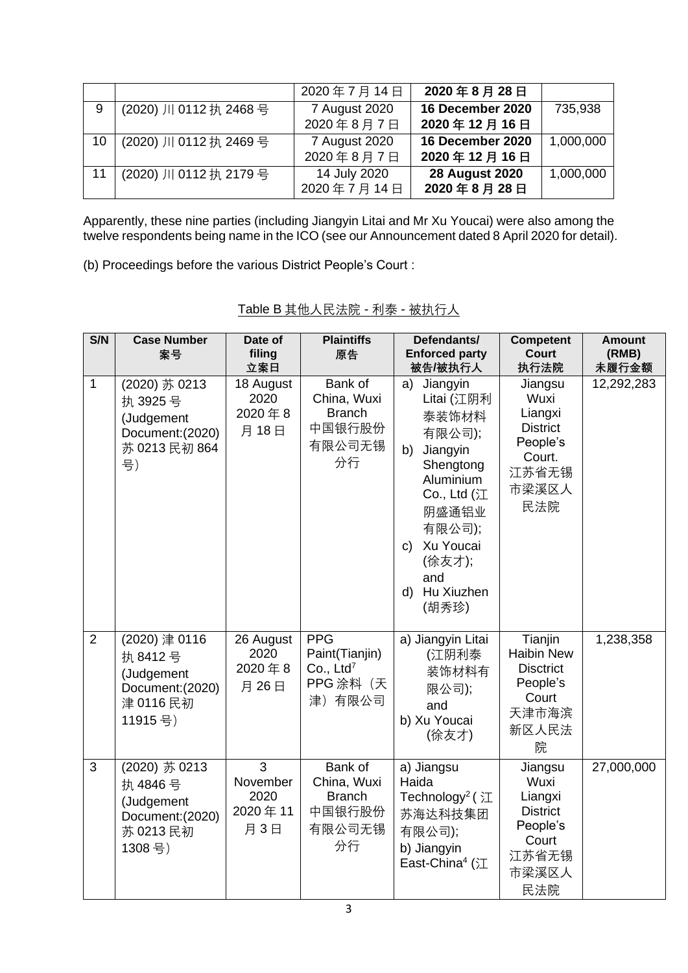|    |                        | 2020年7月14日    | 2020年8月28日            |           |
|----|------------------------|---------------|-----------------------|-----------|
| 9  | (2020) 川 0112 执 2468 号 | 7 August 2020 | 16 December 2020      | 735,938   |
|    |                        | 2020年8月7日     | 2020年12月16日           |           |
| 10 | (2020) 川 0112 执 2469 号 | 7 August 2020 | 16 December 2020      | 1,000,000 |
|    |                        | 2020年8月7日     | 2020年12月16日           |           |
|    | (2020) 川 0112 执 2179 号 | 14 July 2020  | <b>28 August 2020</b> | 1,000,000 |
|    |                        | 2020年7月14日    | 2020年8月28日            |           |

Apparently, these nine parties (including Jiangyin Litai and Mr Xu Youcai) were also among the twelve respondents being name in the ICO (see our Announcement dated 8 April 2020 for detail).

(b) Proceedings before the various District People's Court :

| S/N            | <b>Case Number</b><br>案号                                                           | Date of<br>filing<br>立案日                | <b>Plaintiffs</b><br>原告                                                       | Defendants/<br><b>Enforced party</b><br>被告/被执行人                                                                                                                                                   | <b>Competent</b><br><b>Court</b><br>执行法院                                                     | <b>Amount</b><br>(RMB)<br>未履行金额 |
|----------------|------------------------------------------------------------------------------------|-----------------------------------------|-------------------------------------------------------------------------------|---------------------------------------------------------------------------------------------------------------------------------------------------------------------------------------------------|----------------------------------------------------------------------------------------------|---------------------------------|
| $\mathbf{1}$   | (2020) 苏 0213<br>执 3925号<br>(Judgement<br>Document: (2020)<br>苏 0213 民初 864<br>号)  | 18 August<br>2020<br>2020年8<br>月18日     | Bank of<br>China, Wuxi<br><b>Branch</b><br>中国银行股份<br>有限公司无锡<br>分行             | Jiangyin<br>a)<br>Litai (江阴利<br>泰装饰材料<br>有限公司);<br>Jiangyin<br>b)<br>Shengtong<br>Aluminium<br>Co., Ltd $(3)$<br>阴盛通铝业<br>有限公司);<br>Xu Youcai<br>C)<br>(徐友才);<br>and<br>Hu Xiuzhen<br>d)<br>(胡秀珍) | Jiangsu<br>Wuxi<br>Liangxi<br><b>District</b><br>People's<br>Court.<br>江苏省无锡<br>市梁溪区人<br>民法院 | 12,292,283                      |
| $\overline{2}$ | (2020) 津 0116<br>执 8412号<br>(Judgement<br>Document: (2020)<br>津 0116 民初<br>11915号) | 26 August<br>2020<br>2020年8<br>月26日     | <b>PPG</b><br>Paint(Tianjin)<br>Co., Ltd <sup>7</sup><br>PPG 涂料 (天<br>津) 有限公司 | a) Jiangyin Litai<br>(江阴利泰<br>装饰材料有<br>限公司);<br>and<br>b) Xu Youcai<br>(徐友才)                                                                                                                      | Tianjin<br><b>Haibin New</b><br><b>Disctrict</b><br>People's<br>Court<br>天津市海滨<br>新区人民法<br>院 | 1,238,358                       |
| 3              | (2020) 苏 0213<br>执 4846号<br>(Judgement<br>Document: (2020)<br>苏 0213 民初<br>1308号)  | 3<br>November<br>2020<br>2020年11<br>月3日 | Bank of<br>China, Wuxi<br><b>Branch</b><br>中国银行股份<br>有限公司无锡<br>分行             | a) Jiangsu<br>Haida<br>Technology <sup>2</sup> (江<br>苏海达科技集团<br>有限公司);<br>b) Jiangyin<br>East-China <sup>4</sup> (江                                                                               | Jiangsu<br>Wuxi<br>Liangxi<br><b>District</b><br>People's<br>Court<br>江苏省无锡<br>市梁溪区人<br>民法院  | 27,000,000                      |

| Table B 其他人民法院 - 利泰 - 被执行人 |
|----------------------------|
|----------------------------|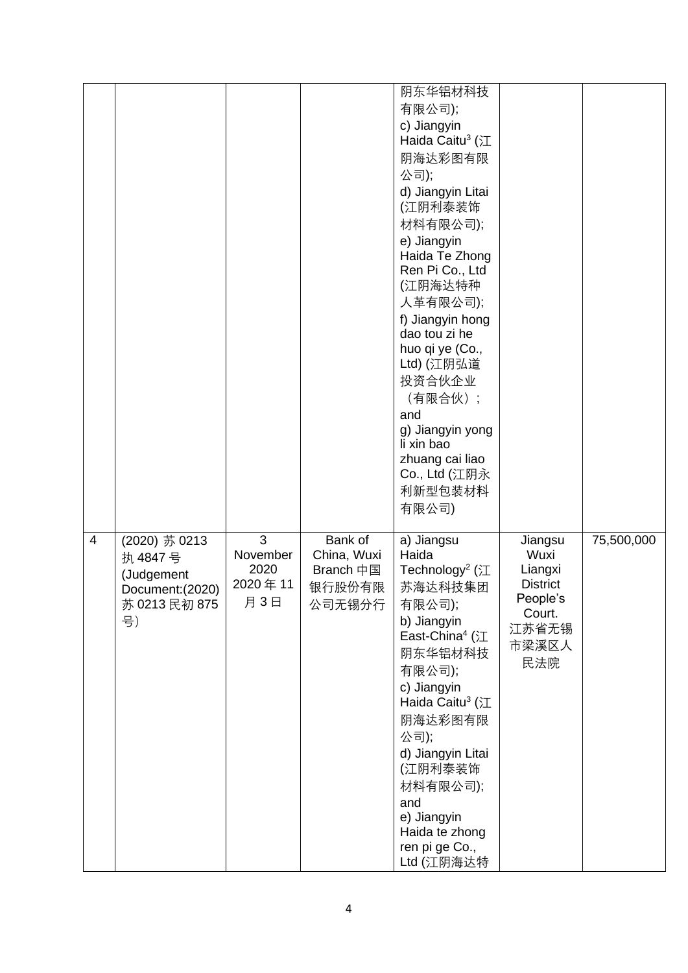|                |                                                                                   |                                                      |                                                         | 阴东华铝材科技<br>有限公司);<br>c) Jiangyin<br>Haida Caitu <sup>3</sup> (江<br>阴海达彩图有限<br>公司);<br>d) Jiangyin Litai<br>(江阴利泰装饰<br>材料有限公司);<br>e) Jiangyin<br>Haida Te Zhong<br>Ren Pi Co., Ltd<br>(江阴海达特种<br>人革有限公司);<br>f) Jiangyin hong<br>dao tou zi he<br>huo qi ye (Co.,<br>Ltd) (江阴弘道<br>投资合伙企业<br>(有限合伙);<br>and<br>g) Jiangyin yong<br>li xin bao<br>zhuang cai liao<br>Co., Ltd (江阴永<br>利新型包装材料<br>有限公司) |                                                                                              |            |
|----------------|-----------------------------------------------------------------------------------|------------------------------------------------------|---------------------------------------------------------|-------------------------------------------------------------------------------------------------------------------------------------------------------------------------------------------------------------------------------------------------------------------------------------------------------------------------------------------------------------------------------------------------------|----------------------------------------------------------------------------------------------|------------|
| $\overline{4}$ | (2020) 苏 0213<br>执 4847号<br>(Judgement<br>Document: (2020)<br>苏 0213 民初 875<br>号) | $\overline{3}$<br>November<br>2020<br>2020年11<br>月3日 | Bank of<br>China, Wuxi<br>Branch 中国<br>银行股份有限<br>公司无锡分行 | a) Jiangsu<br>Haida<br>Technology <sup>2</sup> ( $\mathcal{I}$<br>苏海达科技集团<br>有限公司);<br>b) Jiangyin<br>East-China <sup>4</sup> (江<br>阴东华铝材科技<br>有限公司);<br>c) Jiangyin<br>Haida Caitu <sup>3</sup> (江<br>阴海达彩图有限<br>公司);<br>d) Jiangyin Litai<br>(江阴利泰装饰<br>材料有限公司);<br>and<br>e) Jiangyin<br>Haida te zhong<br>ren pi ge Co.,<br>Ltd (江阴海达特                                                            | Jiangsu<br>Wuxi<br>Liangxi<br><b>District</b><br>People's<br>Court.<br>江苏省无锡<br>市梁溪区人<br>民法院 | 75,500,000 |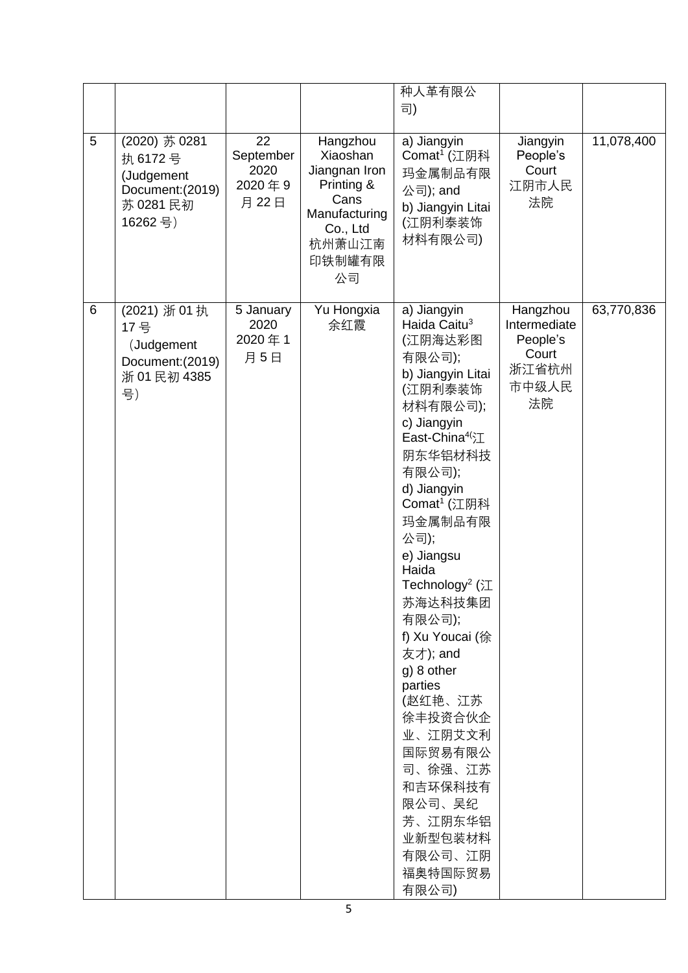|   |                                                                                    |                                           |                                                                                                                    | 种人革有限公<br>司)                                                                                                                                                                                                                                                                                                                                                                                                                                                                                               |                                                                       |            |
|---|------------------------------------------------------------------------------------|-------------------------------------------|--------------------------------------------------------------------------------------------------------------------|------------------------------------------------------------------------------------------------------------------------------------------------------------------------------------------------------------------------------------------------------------------------------------------------------------------------------------------------------------------------------------------------------------------------------------------------------------------------------------------------------------|-----------------------------------------------------------------------|------------|
| 5 | (2020) 苏 0281<br>执 6172号<br>(Judgement<br>Document: (2019)<br>苏 0281 民初<br>16262号) | 22<br>September<br>2020<br>2020年9<br>月22日 | Hangzhou<br>Xiaoshan<br>Jiangnan Iron<br>Printing &<br>Cans<br>Manufacturing<br>Co., Ltd<br>杭州萧山江南<br>印铁制罐有限<br>公司 | a) Jiangyin<br>Comat <sup>1</sup> (江阴科<br>玛金属制品有限<br>公司); and<br>b) Jiangyin Litai<br>(江阴利泰装饰<br>材料有限公司)                                                                                                                                                                                                                                                                                                                                                                                                   | Jiangyin<br>People's<br>Court<br>江阴市人民<br>法院                          | 11,078,400 |
| 6 | (2021) 浙 01 执<br>17 묵<br>(Judgement<br>Document: (2019)<br>浙 01 民初 4385<br>号)      | 5 January<br>2020<br>2020年1<br>月5日        | Yu Hongxia<br>余红霞                                                                                                  | a) Jiangyin<br>Haida Caitu <sup>3</sup><br>(江阴海达彩图<br>有限公司);<br>b) Jiangyin Litai<br>(江阴利泰装饰<br>材料有限公司);<br>c) Jiangyin<br>East-China <sup>4(</sup> 江<br>阴东华铝材科技<br>有限公司);<br>d) Jiangyin<br>Comat <sup>1</sup> (江阴科<br>玛金属制品有限<br>公司);<br>e) Jiangsu<br>Haida<br>Technology <sup>2</sup> (江<br>苏海达科技集团<br>有限公司);<br>f) Xu Youcai (徐<br>友才); and<br>g) 8 other<br>parties<br>(赵红艳、江苏<br>徐丰投资合伙企<br>业、江阴艾文利<br>国际贸易有限公<br>司、徐强、江苏<br>和吉环保科技有<br>限公司、吴纪<br>芳、江阴东华铝<br>业新型包装材料<br>有限公司、江阴<br>福奥特国际贸易<br>有限公司) | Hangzhou<br>Intermediate<br>People's<br>Court<br>浙江省杭州<br>市中级人民<br>法院 | 63,770,836 |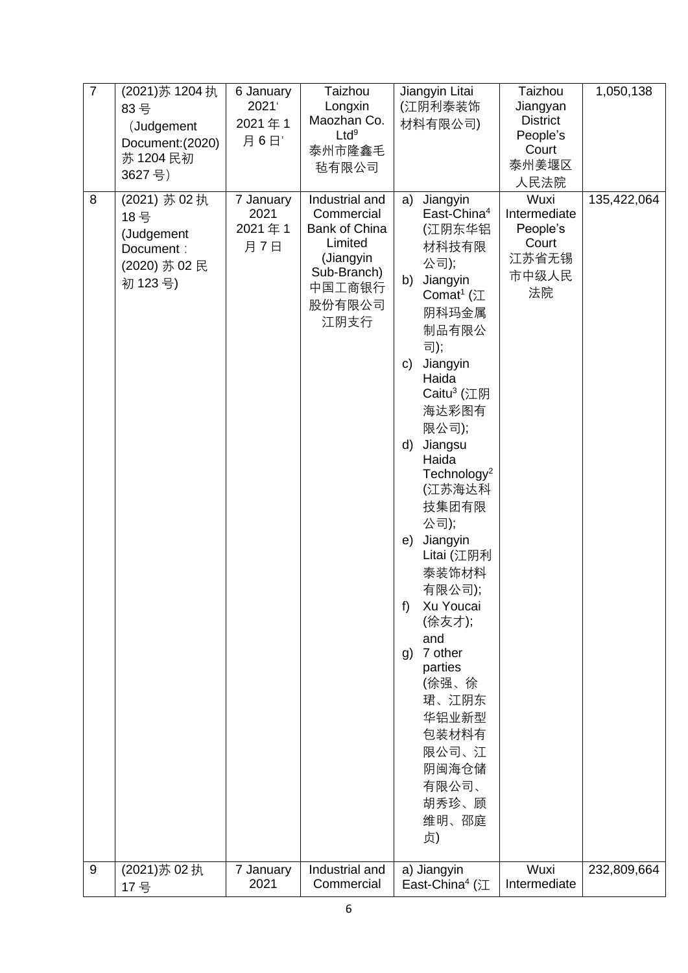| $\overline{7}$ | (2021)苏 1204 执<br>83号<br>(Judgement<br>Document: (2020)<br>苏 1204 民初<br>3627号) | 6 January<br>2021<br>2021年1<br>月6日' | Taizhou<br>Longxin<br>Maozhan Co.<br>Ltd <sup>9</sup><br>泰州市隆鑫毛<br>毡有限公司                                         | Jiangyin Litai<br>(江阴利泰装饰<br>材料有限公司)                                                                                                                                                                                                                                                                                                                                                                                                                                                                                   | Taizhou<br>Jiangyan<br><b>District</b><br>People's<br>Court<br>泰州姜堰区<br>人民法院 | 1,050,138   |
|----------------|--------------------------------------------------------------------------------|-------------------------------------|------------------------------------------------------------------------------------------------------------------|------------------------------------------------------------------------------------------------------------------------------------------------------------------------------------------------------------------------------------------------------------------------------------------------------------------------------------------------------------------------------------------------------------------------------------------------------------------------------------------------------------------------|------------------------------------------------------------------------------|-------------|
| 8              | (2021) 苏 02 执<br>18 묵<br>(Judgement<br>Document:<br>(2020) 苏 02 民<br>初 123号)   | 7 January<br>2021<br>2021年1<br>月7日  | Industrial and<br>Commercial<br>Bank of China<br>Limited<br>(Jiangyin<br>Sub-Branch)<br>中国工商银行<br>股份有限公司<br>江阴支行 | a)<br>Jiangyin<br>East-China <sup>4</sup><br>(江阴东华铝<br>材科技有限<br>公司);<br>Jiangyin<br>b)<br>Comat <sup>1</sup> ( $\mathcal{I}$<br>阴科玛金属<br>制品有限公<br>司);<br>Jiangyin<br>C)<br>Haida<br>Caitu <sup>3</sup> (江阴<br>海达彩图有<br>限公司);<br>Jiangsu<br>d)<br>Haida<br>Technology <sup>2</sup><br>(江苏海达科<br>技集团有限<br>公司);<br>Jiangyin<br>e)<br>Litai (江阴利<br>泰装饰材料<br>有限公司);<br>Xu Youcai<br>f)<br>(徐友才);<br>and<br>7 other<br>g)<br>parties<br>(徐强、徐<br>珺、江阴东<br>华铝业新型<br>包装材料有<br>限公司、江<br>阴闽海仓储<br>有限公司、<br>胡秀珍、顾<br>维明、邵庭<br>贞) | Wuxi<br>Intermediate<br>People's<br>Court<br>江苏省无锡<br>市中级人民<br>法院            | 135,422,064 |
| 9              | (2021) 苏 02 执<br>17 号                                                          | 7 January<br>2021                   | Industrial and<br>Commercial                                                                                     | a) Jiangyin<br>East-China <sup>4</sup> (江                                                                                                                                                                                                                                                                                                                                                                                                                                                                              | Wuxi<br>Intermediate                                                         | 232,809,664 |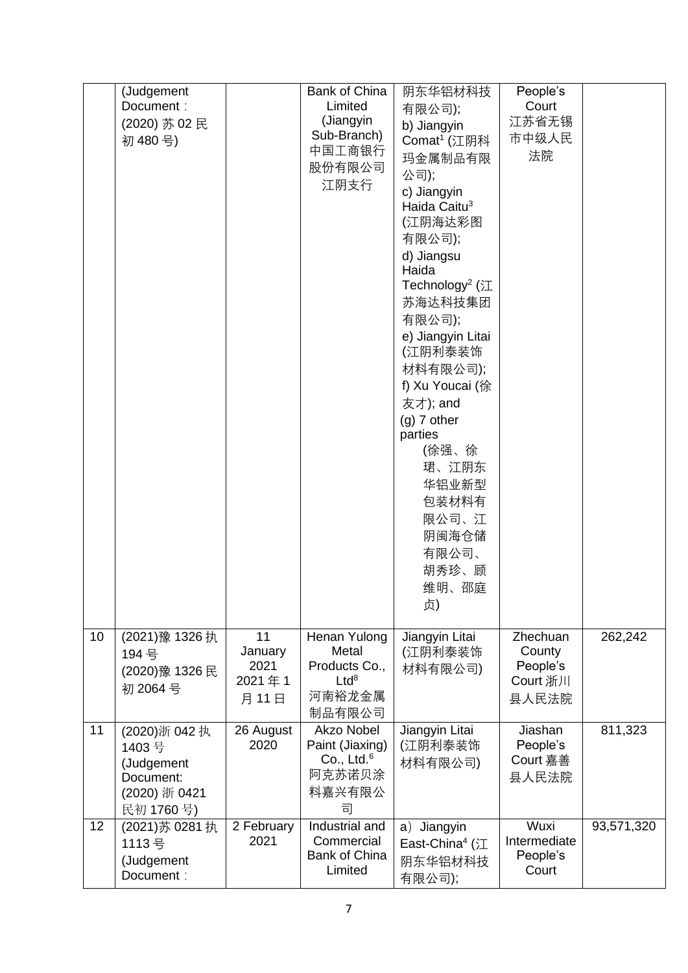|    | (Judgement      |                | <b>Bank of China</b>     | 阴东华铝材科技                                 | People's             |            |
|----|-----------------|----------------|--------------------------|-----------------------------------------|----------------------|------------|
|    | Document:       |                | Limited                  | 有限公司);                                  | Court                |            |
|    | (2020) 苏 02 民   |                | (Jiangyin                | b) Jiangyin                             | 江苏省无锡                |            |
|    | 初 480号)         |                | Sub-Branch)              | Comat <sup>1</sup> (江阴科                 | 市中级人民                |            |
|    |                 |                | 中国工商银行                   | 玛金属制品有限                                 | 法院                   |            |
|    |                 |                | 股份有限公司                   | 公司);                                    |                      |            |
|    |                 |                | 江阴支行                     | c) Jiangyin                             |                      |            |
|    |                 |                |                          | Haida Caitu <sup>3</sup>                |                      |            |
|    |                 |                |                          | (江阴海达彩图                                 |                      |            |
|    |                 |                |                          | 有限公司);                                  |                      |            |
|    |                 |                |                          | d) Jiangsu                              |                      |            |
|    |                 |                |                          | Haida                                   |                      |            |
|    |                 |                |                          | Technology <sup>2</sup> ( $\mathcal{I}$ |                      |            |
|    |                 |                |                          | 苏海达科技集团                                 |                      |            |
|    |                 |                |                          | 有限公司);                                  |                      |            |
|    |                 |                |                          | e) Jiangyin Litai                       |                      |            |
|    |                 |                |                          | (江阴利泰装饰                                 |                      |            |
|    |                 |                |                          | 材料有限公司);                                |                      |            |
|    |                 |                |                          | f) Xu Youcai (徐                         |                      |            |
|    |                 |                |                          | 友才); and                                |                      |            |
|    |                 |                |                          | $(g)$ 7 other                           |                      |            |
|    |                 |                |                          | parties                                 |                      |            |
|    |                 |                |                          | (徐强、徐                                   |                      |            |
|    |                 |                |                          | 珺、江阴东                                   |                      |            |
|    |                 |                |                          | 华铝业新型                                   |                      |            |
|    |                 |                |                          | 包装材料有                                   |                      |            |
|    |                 |                |                          | 限公司、江                                   |                      |            |
|    |                 |                |                          | 阴闽海仓储                                   |                      |            |
|    |                 |                |                          | 有限公司、                                   |                      |            |
|    |                 |                |                          | 胡秀珍、顾                                   |                      |            |
|    |                 |                |                          | 维明、邵庭                                   |                      |            |
|    |                 |                |                          | 贞)                                      |                      |            |
|    |                 |                |                          |                                         |                      |            |
| 10 | (2021) 豫 1326 执 | 11             | Henan Yulong             | Jiangyin Litai                          | Zhechuan             | 262,242    |
|    | 194 号           | January        | Metal                    | (江阴利泰装饰                                 | County               |            |
|    | (2020)豫 1326 民  | 2021<br>2021年1 | Products Co.,<br>$Ltd^8$ | 材料有限公司)                                 | People's<br>Court 浙川 |            |
|    | 初 2064号         | 月11日           | 河南裕龙金属                   |                                         | 县人民法院                |            |
|    |                 |                | 制品有限公司                   |                                         |                      |            |
| 11 | (2020)浙 042 执   | 26 August      | Akzo Nobel               | Jiangyin Litai                          | Jiashan              | 811,323    |
|    | 1403号           | 2020           | Paint (Jiaxing)          | (江阴利泰装饰                                 | People's             |            |
|    | (Judgement      |                | Co., Ltd. $6$            | 材料有限公司)                                 | Court 嘉善             |            |
|    | Document:       |                | 阿克苏诺贝涂                   |                                         | 县人民法院                |            |
|    | (2020) 浙 0421   |                | 料嘉兴有限公                   |                                         |                      |            |
|    | 民初 1760号)       |                | 司                        |                                         |                      |            |
| 12 | (2021) 苏 0281 执 | 2 February     | Industrial and           | a) Jiangyin                             | Wuxi                 | 93,571,320 |
|    | 1113号           | 2021           | Commercial               | East-China <sup>4</sup> (江              | Intermediate         |            |
|    | (Judgement      |                | <b>Bank of China</b>     | 阴东华铝材科技                                 | People's             |            |
|    | Document:       |                | Limited                  | 有限公司);                                  | Court                |            |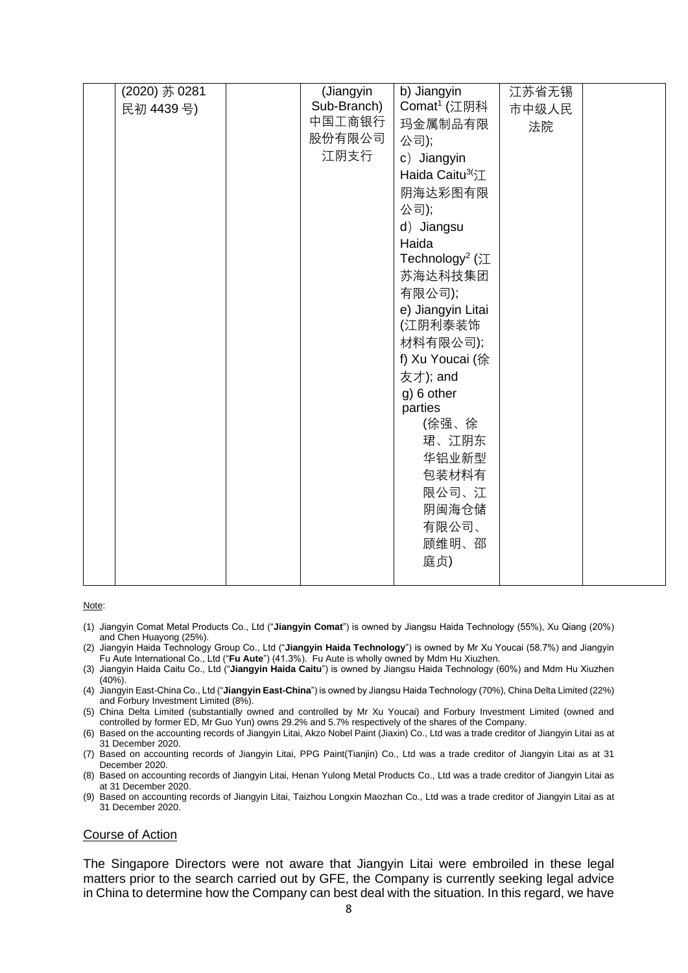| (2020) 苏 0281 | (Jiangyin   | b) Jiangyin                 | 江苏省无锡 |  |
|---------------|-------------|-----------------------------|-------|--|
| 民初 4439号)     | Sub-Branch) | Comat <sup>1</sup> (江阴科     | 市中级人民 |  |
|               | 中国工商银行      | 玛金属制品有限                     |       |  |
|               | 股份有限公司      | 公司);                        | 法院    |  |
|               | 江阴支行        |                             |       |  |
|               |             | c) Jiangyin                 |       |  |
|               |             | Haida Caitu <sup>3(</sup> 江 |       |  |
|               |             | 阴海达彩图有限                     |       |  |
|               |             | 公司);                        |       |  |
|               |             | d) Jiangsu                  |       |  |
|               |             | Haida                       |       |  |
|               |             | Technology <sup>2</sup> (江  |       |  |
|               |             | 苏海达科技集团                     |       |  |
|               |             | 有限公司);                      |       |  |
|               |             | e) Jiangyin Litai           |       |  |
|               |             | (江阴利泰装饰                     |       |  |
|               |             | 材料有限公司);                    |       |  |
|               |             | f) Xu Youcai (徐             |       |  |
|               |             | 友才); and                    |       |  |
|               |             | g) 6 other                  |       |  |
|               |             | parties                     |       |  |
|               |             | (徐强、徐                       |       |  |
|               |             | 珺、江阴东                       |       |  |
|               |             | 华铝业新型                       |       |  |
|               |             | 包装材料有                       |       |  |
|               |             | 限公司、江                       |       |  |
|               |             | 阴闽海仓储                       |       |  |
|               |             | 有限公司、                       |       |  |
|               |             | 顾维明、邵                       |       |  |
|               |             |                             |       |  |
|               |             | 庭贞)                         |       |  |
|               |             |                             |       |  |

Note:

- (1) Jiangyin Comat Metal Products Co., Ltd ("**Jiangyin Comat**") is owned by Jiangsu Haida Technology (55%), Xu Qiang (20%) and Chen Huayong (25%).
- (2) Jiangyin Haida Technology Group Co., Ltd ("**Jiangyin Haida Technology**") is owned by Mr Xu Youcai (58.7%) and Jiangyin Fu Aute International Co., Ltd ("**Fu Aute**") (41.3%). Fu Aute is wholly owned by Mdm Hu Xiuzhen.
- (3) Jiangyin Haida Caitu Co., Ltd ("**Jiangyin Haida Caitu**") is owned by Jiangsu Haida Technology (60%) and Mdm Hu Xiuzhen (40%).
- (4) Jiangyin East-China Co., Ltd ("**Jiangyin East-China**") is owned by Jiangsu Haida Technology (70%), China Delta Limited (22%) and Forbury Investment Limited (8%).
- (5) China Delta Limited (substantially owned and controlled by Mr Xu Youcai) and Forbury Investment Limited (owned and controlled by former ED, Mr Guo Yun) owns 29.2% and 5.7% respectively of the shares of the Company.
- (6) Based on the accounting records of Jiangyin Litai, Akzo Nobel Paint (Jiaxin) Co., Ltd was a trade creditor of Jiangyin Litai as at 31 December 2020.
- (7) Based on accounting records of Jiangyin Litai, PPG Paint(Tianjin) Co., Ltd was a trade creditor of Jiangyin Litai as at 31 December 2020.
- (8) Based on accounting records of Jiangyin Litai, Henan Yulong Metal Products Co., Ltd was a trade creditor of Jiangyin Litai as at 31 December 2020.
- (9) Based on accounting records of Jiangyin Litai, Taizhou Longxin Maozhan Co., Ltd was a trade creditor of Jiangyin Litai as at 31 December 2020.

#### Course of Action

The Singapore Directors were not aware that Jiangyin Litai were embroiled in these legal matters prior to the search carried out by GFE, the Company is currently seeking legal advice in China to determine how the Company can best deal with the situation. In this regard, we have